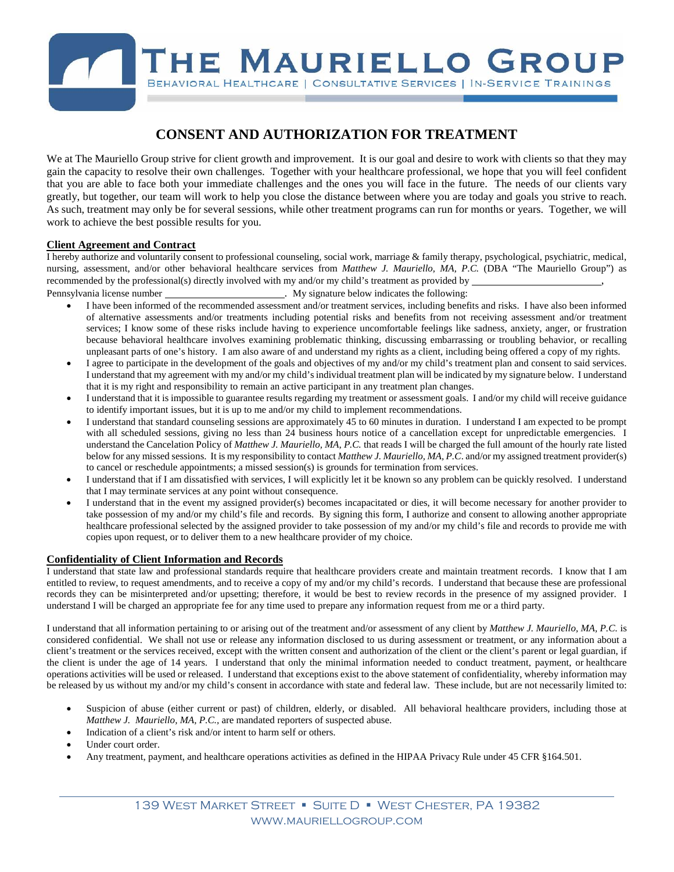# THE MAURIELLO GROUP BEHAVIORAL HEALTHCARE | CONSULTATIVE SERVICES | IN-SERVICE TRAININGS

# **CONSENT AND AUTHORIZATION FOR TREATMENT**

We at The Mauriello Group strive for client growth and improvement. It is our goal and desire to work with clients so that they may gain the capacity to resolve their own challenges. Together with your healthcare professional, we hope that you will feel confident that you are able to face both your immediate challenges and the ones you will face in the future. The needs of our clients vary greatly, but together, our team will work to help you close the distance between where you are today and goals you strive to reach. As such, treatment may only be for several sessions, while other treatment programs can run for months or years. Together, we will work to achieve the best possible results for you.

## **Client Agreement and Contract**

I hereby authorize and voluntarily consent to professional counseling, social work, marriage & family therapy, psychological, psychiatric, medical, nursing, assessment, and/or other behavioral healthcare services from *Matthew J. Mauriello, MA, P.C.* (DBA "The Mauriello Group") as recommended by the professional(s) directly involved with my and/or my child's treatment as provided by ,

Pennsylvania license number . My signature below indicates the following:

- I have been informed of the recommended assessment and/or treatment services, including benefits and risks. I have also been informed of alternative assessments and/or treatments including potential risks and benefits from not receiving assessment and/or treatment services; I know some of these risks include having to experience uncomfortable feelings like sadness, anxiety, anger, or frustration because behavioral healthcare involves examining problematic thinking, discussing embarrassing or troubling behavior, or recalling unpleasant parts of one's history. I am also aware of and understand my rights as a client, including being offered a copy of my rights.
- I agree to participate in the development of the goals and objectives of my and/or my child's treatment plan and consent to said services. I understand that my agreement with my and/or my child's individual treatment plan will be indicated by my signature below. I understand that it is my right and responsibility to remain an active participant in any treatment plan changes.
- I understand that it is impossible to guarantee results regarding my treatment or assessment goals. I and/or my child will receive guidance to identify important issues, but it is up to me and/or my child to implement recommendations.
- I understand that standard counseling sessions are approximately 45 to 60 minutes in duration. I understand I am expected to be prompt with all scheduled sessions, giving no less than 24 business hours notice of a cancellation except for unpredictable emergencies. I understand the Cancelation Policy of *Matthew J. Mauriello, MA, P.C.* that reads I will be charged the full amount of the hourly rate listed below for any missed sessions. It is my responsibility to contact *Matthew J. Mauriello, MA, P.C*. and/or my assigned treatment provider(s) to cancel or reschedule appointments; a missed session(s) is grounds for termination from services.
- I understand that if I am dissatisfied with services, I will explicitly let it be known so any problem can be quickly resolved. I understand that I may terminate services at any point without consequence.
- I understand that in the event my assigned provider(s) becomes incapacitated or dies, it will become necessary for another provider to take possession of my and/or my child's file and records. By signing this form, I authorize and consent to allowing another appropriate healthcare professional selected by the assigned provider to take possession of my and/or my child's file and records to provide me with copies upon request, or to deliver them to a new healthcare provider of my choice.

### **Confidentiality of Client Information and Records**

I understand that state law and professional standards require that healthcare providers create and maintain treatment records. I know that I am entitled to review, to request amendments, and to receive a copy of my and/or my child's records. I understand that because these are professional records they can be misinterpreted and/or upsetting; therefore, it would be best to review records in the presence of my assigned provider. I understand I will be charged an appropriate fee for any time used to prepare any information request from me or a third party.

I understand that all information pertaining to or arising out of the treatment and/or assessment of any client by *Matthew J. Mauriello, MA, P.C.* is considered confidential. We shall not use or release any information disclosed to us during assessment or treatment, or any information about a client's treatment or the services received, except with the written consent and authorization of the client or the client's parent or legal guardian, if the client is under the age of 14 years. I understand that only the minimal information needed to conduct treatment, payment, or healthcare operations activities will be used or released. I understand that exceptions exist to the above statement of confidentiality, whereby information may be released by us without my and/or my child's consent in accordance with state and federal law. These include, but are not necessarily limited to:

- Suspicion of abuse (either current or past) of children, elderly, or disabled. All behavioral healthcare providers, including those at *Matthew J. Mauriello, MA, P.C.,* are mandated reporters of suspected abuse.
- Indication of a client's risk and/or intent to harm self or others.
- Under court order.
- Any treatment, payment, and healthcare operations activities as defined in the HIPAA Privacy Rule under 45 CFR §164.501.